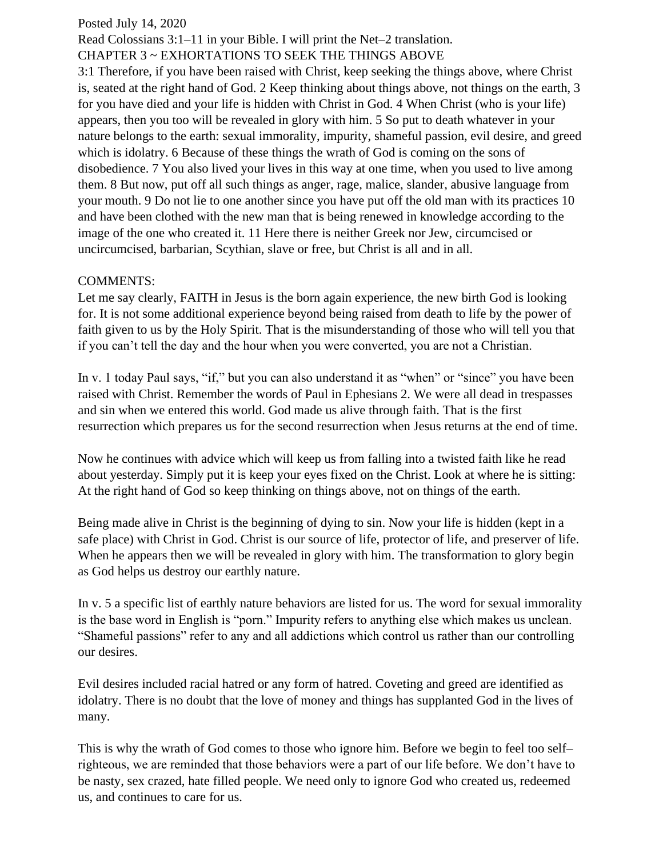## Posted July 14, 2020

Read Colossians 3:1–11 in your Bible. I will print the Net–2 translation. CHAPTER 3 ~ EXHORTATIONS TO SEEK THE THINGS ABOVE

3:1 Therefore, if you have been raised with Christ, keep seeking the things above, where Christ is, seated at the right hand of God. 2 Keep thinking about things above, not things on the earth, 3 for you have died and your life is hidden with Christ in God. 4 When Christ (who is your life) appears, then you too will be revealed in glory with him. 5 So put to death whatever in your nature belongs to the earth: sexual immorality, impurity, shameful passion, evil desire, and greed which is idolatry. 6 Because of these things the wrath of God is coming on the sons of disobedience. 7 You also lived your lives in this way at one time, when you used to live among them. 8 But now, put off all such things as anger, rage, malice, slander, abusive language from your mouth. 9 Do not lie to one another since you have put off the old man with its practices 10 and have been clothed with the new man that is being renewed in knowledge according to the image of the one who created it. 11 Here there is neither Greek nor Jew, circumcised or uncircumcised, barbarian, Scythian, slave or free, but Christ is all and in all.

## COMMENTS:

Let me say clearly, FAITH in Jesus is the born again experience, the new birth God is looking for. It is not some additional experience beyond being raised from death to life by the power of faith given to us by the Holy Spirit. That is the misunderstanding of those who will tell you that if you can't tell the day and the hour when you were converted, you are not a Christian.

In v. 1 today Paul says, "if," but you can also understand it as "when" or "since" you have been raised with Christ. Remember the words of Paul in Ephesians 2. We were all dead in trespasses and sin when we entered this world. God made us alive through faith. That is the first resurrection which prepares us for the second resurrection when Jesus returns at the end of time.

Now he continues with advice which will keep us from falling into a twisted faith like he read about yesterday. Simply put it is keep your eyes fixed on the Christ. Look at where he is sitting: At the right hand of God so keep thinking on things above, not on things of the earth.

Being made alive in Christ is the beginning of dying to sin. Now your life is hidden (kept in a safe place) with Christ in God. Christ is our source of life, protector of life, and preserver of life. When he appears then we will be revealed in glory with him. The transformation to glory begin as God helps us destroy our earthly nature.

In v. 5 a specific list of earthly nature behaviors are listed for us. The word for sexual immorality is the base word in English is "porn." Impurity refers to anything else which makes us unclean. "Shameful passions" refer to any and all addictions which control us rather than our controlling our desires.

Evil desires included racial hatred or any form of hatred. Coveting and greed are identified as idolatry. There is no doubt that the love of money and things has supplanted God in the lives of many.

This is why the wrath of God comes to those who ignore him. Before we begin to feel too self– righteous, we are reminded that those behaviors were a part of our life before. We don't have to be nasty, sex crazed, hate filled people. We need only to ignore God who created us, redeemed us, and continues to care for us.